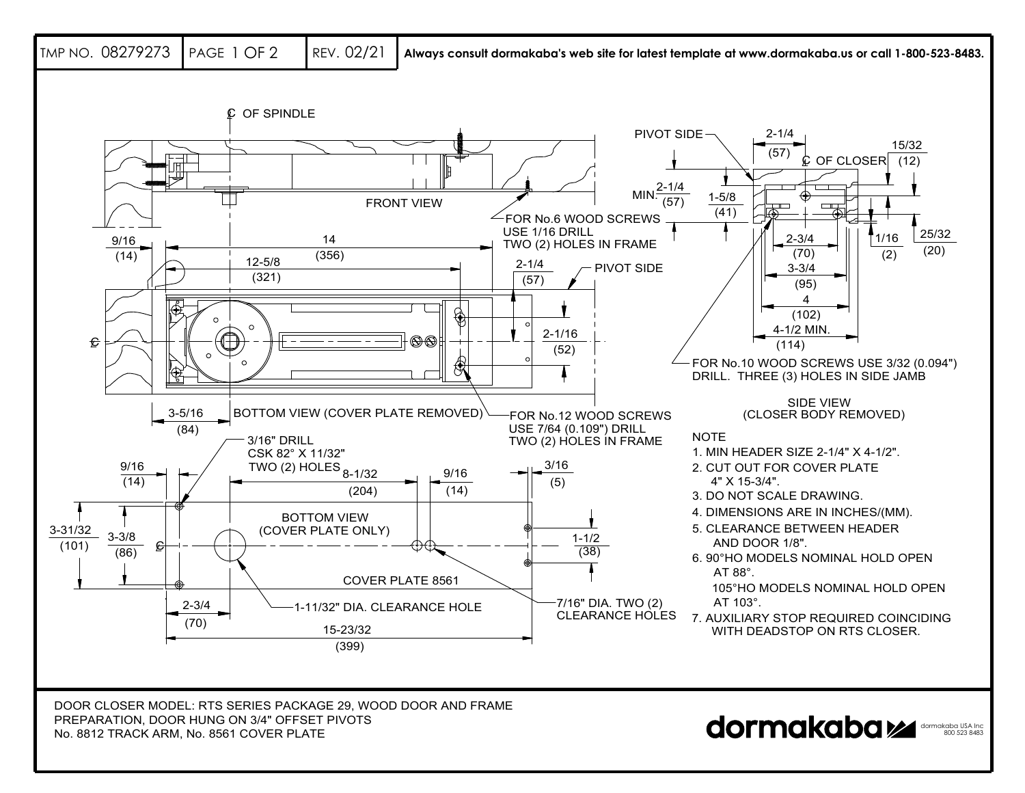